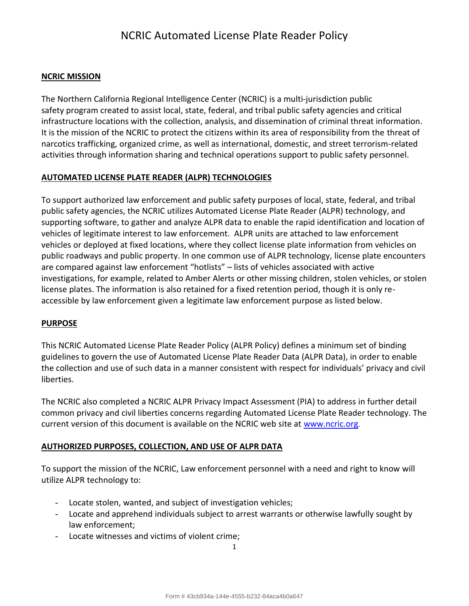#### **NCRIC MISSION**

The Northern California Regional Intelligence Center (NCRIC) is a multi-jurisdiction public safety program created to assist local, state, federal, and tribal public safety agencies and critical infrastructure locations with the collection, analysis, and dissemination of criminal threat information. It is the mission of the NCRIC to protect the citizens within its area of responsibility from the threat of narcotics trafficking, organized crime, as well as international, domestic, and street terrorism-related activities through information sharing and technical operations support to public safety personnel.

#### **AUTOMATED LICENSE PLATE READER (ALPR) TECHNOLOGIES**

To support authorized law enforcement and public safety purposes of local, state, federal, and tribal public safety agencies, the NCRIC utilizes Automated License Plate Reader (ALPR) technology, and supporting software, to gather and analyze ALPR data to enable the rapid identification and location of vehicles of legitimate interest to law enforcement. ALPR units are attached to law enforcement vehicles or deployed at fixed locations, where they collect license plate information from vehicles on public roadways and public property. In one common use of ALPR technology, license plate encounters are compared against law enforcement "hotlists" – lists of vehicles associated with active investigations, for example, related to Amber Alerts or other missing children, stolen vehicles, or stolen license plates. The information is also retained for a fixed retention period, though it is only reaccessible by law enforcement given a legitimate law enforcement purpose as listed below.

#### **PURPOSE**

This NCRIC Automated License Plate Reader Policy (ALPR Policy) defines a minimum set of binding guidelines to govern the use of Automated License Plate Reader Data (ALPR Data), in order to enable the collection and use of such data in a manner consistent with respect for individuals' privacy and civil liberties.

The NCRIC also completed a NCRIC ALPR Privacy Impact Assessment (PIA) to address in further detail common privacy and civil liberties concerns regarding Automated License Plate Reader technology. The current version of this document is available on the NCRIC web site at [www.ncric.org](http://www.ncric.org/).

### **AUTHORIZED PURPOSES, COLLECTION, AND USE OF ALPR DATA**

To support the mission of the NCRIC, Law enforcement personnel with a need and right to know will utilize ALPR technology to:

- Locate stolen, wanted, and subject of investigation vehicles;
- Locate and apprehend individuals subject to arrest warrants or otherwise lawfully sought by law enforcement;
- Locate witnesses and victims of violent crime;

1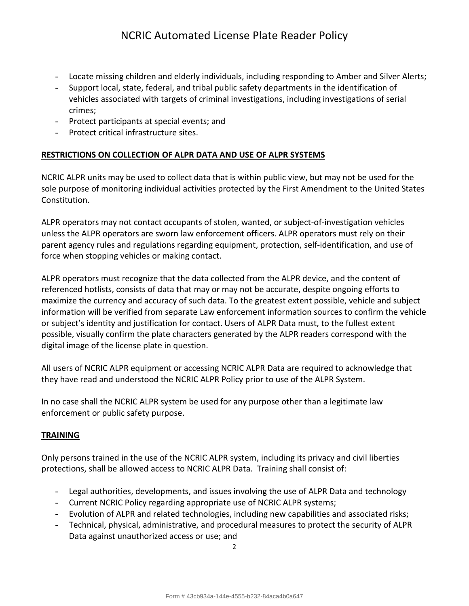- Locate missing children and elderly individuals, including responding to Amber and Silver Alerts;
- Support local, state, federal, and tribal public safety departments in the identification of vehicles associated with targets of criminal investigations, including investigations of serial crimes;
- Protect participants at special events; and
- Protect critical infrastructure sites.

### **RESTRICTIONS ON COLLECTION OF ALPR DATA AND USE OF ALPR SYSTEMS**

NCRIC ALPR units may be used to collect data that is within public view, but may not be used for the sole purpose of monitoring individual activities protected by the First Amendment to the United States Constitution.

ALPR operators may not contact occupants of stolen, wanted, or subject-of-investigation vehicles unless the ALPR operators are sworn law enforcement officers. ALPR operators must rely on their parent agency rules and regulations regarding equipment, protection, self-identification, and use of force when stopping vehicles or making contact.

ALPR operators must recognize that the data collected from the ALPR device, and the content of referenced hotlists, consists of data that may or may not be accurate, despite ongoing efforts to maximize the currency and accuracy of such data. To the greatest extent possible, vehicle and subject information will be verified from separate Law enforcement information sources to confirm the vehicle or subject's identity and justification for contact. Users of ALPR Data must, to the fullest extent possible, visually confirm the plate characters generated by the ALPR readers correspond with the digital image of the license plate in question.

All users of NCRIC ALPR equipment or accessing NCRIC ALPR Data are required to acknowledge that they have read and understood the NCRIC ALPR Policy prior to use of the ALPR System.

In no case shall the NCRIC ALPR system be used for any purpose other than a legitimate law enforcement or public safety purpose.

#### **TRAINING**

Only persons trained in the use of the NCRIC ALPR system, including its privacy and civil liberties protections, shall be allowed access to NCRIC ALPR Data. Training shall consist of:

- Legal authorities, developments, and issues involving the use of ALPR Data and technology
- Current NCRIC Policy regarding appropriate use of NCRIC ALPR systems;
- Evolution of ALPR and related technologies, including new capabilities and associated risks;
- Technical, physical, administrative, and procedural measures to protect the security of ALPR Data against unauthorized access or use; and

 $\mathfrak{p}$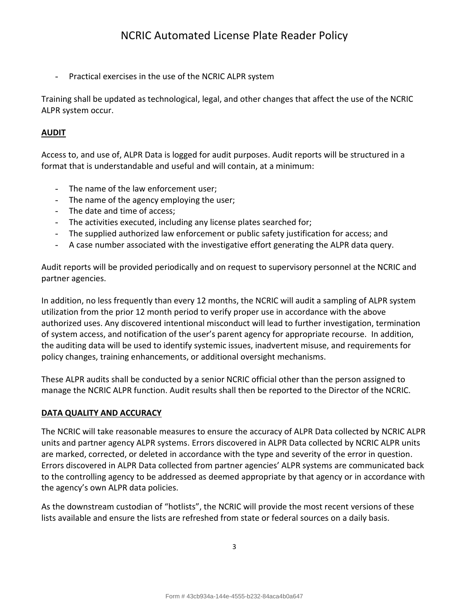- Practical exercises in the use of the NCRIC ALPR system

Training shall be updated as technological, legal, and other changes that affect the use of the NCRIC ALPR system occur.

## **AUDIT**

Access to, and use of, ALPR Data is logged for audit purposes. Audit reports will be structured in a format that is understandable and useful and will contain, at a minimum:

- The name of the law enforcement user;
- The name of the agency employing the user;
- The date and time of access;
- The activities executed, including any license plates searched for;
- The supplied authorized law enforcement or public safety justification for access; and
- A case number associated with the investigative effort generating the ALPR data query.

Audit reports will be provided periodically and on request to supervisory personnel at the NCRIC and partner agencies.

In addition, no less frequently than every 12 months, the NCRIC will audit a sampling of ALPR system utilization from the prior 12 month period to verify proper use in accordance with the above authorized uses. Any discovered intentional misconduct will lead to further investigation, termination of system access, and notification of the user's parent agency for appropriate recourse. In addition, the auditing data will be used to identify systemic issues, inadvertent misuse, and requirements for policy changes, training enhancements, or additional oversight mechanisms.

These ALPR audits shall be conducted by a senior NCRIC official other than the person assigned to manage the NCRIC ALPR function. Audit results shall then be reported to the Director of the NCRIC.

## **DATA QUALITY AND ACCURACY**

The NCRIC will take reasonable measures to ensure the accuracy of ALPR Data collected by NCRIC ALPR units and partner agency ALPR systems. Errors discovered in ALPR Data collected by NCRIC ALPR units are marked, corrected, or deleted in accordance with the type and severity of the error in question. Errors discovered in ALPR Data collected from partner agencies' ALPR systems are communicated back to the controlling agency to be addressed as deemed appropriate by that agency or in accordance with the agency's own ALPR data policies.

As the downstream custodian of "hotlists", the NCRIC will provide the most recent versions of these lists available and ensure the lists are refreshed from state or federal sources on a daily basis.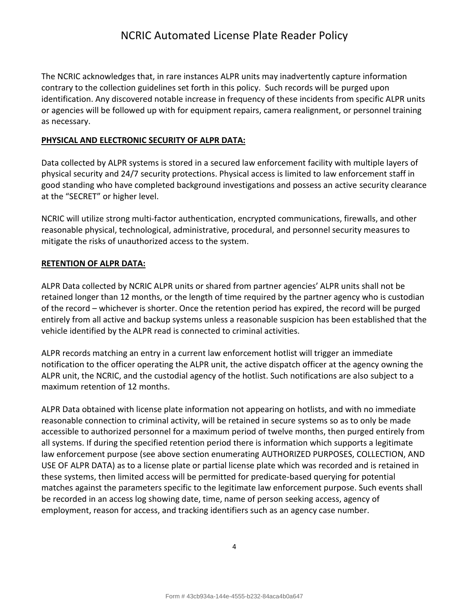The NCRIC acknowledges that, in rare instances ALPR units may inadvertently capture information contrary to the collection guidelines set forth in this policy. Such records will be purged upon identification. Any discovered notable increase in frequency of these incidents from specific ALPR units or agencies will be followed up with for equipment repairs, camera realignment, or personnel training as necessary.

### **PHYSICAL AND ELECTRONIC SECURITY OF ALPR DATA:**

Data collected by ALPR systems is stored in a secured law enforcement facility with multiple layers of physical security and 24/7 security protections. Physical access is limited to law enforcement staff in good standing who have completed background investigations and possess an active security clearance at the "SECRET" or higher level.

NCRIC will utilize strong multi-factor authentication, encrypted communications, firewalls, and other reasonable physical, technological, administrative, procedural, and personnel security measures to mitigate the risks of unauthorized access to the system.

### **RETENTION OF ALPR DATA:**

ALPR Data collected by NCRIC ALPR units or shared from partner agencies' ALPR units shall not be retained longer than 12 months, or the length of time required by the partner agency who is custodian of the record – whichever is shorter. Once the retention period has expired, the record will be purged entirely from all active and backup systems unless a reasonable suspicion has been established that the vehicle identified by the ALPR read is connected to criminal activities.

ALPR records matching an entry in a current law enforcement hotlist will trigger an immediate notification to the officer operating the ALPR unit, the active dispatch officer at the agency owning the ALPR unit, the NCRIC, and the custodial agency of the hotlist. Such notifications are also subject to a maximum retention of 12 months.

ALPR Data obtained with license plate information not appearing on hotlists, and with no immediate reasonable connection to criminal activity, will be retained in secure systems so as to only be made accessible to authorized personnel for a maximum period of twelve months, then purged entirely from all systems. If during the specified retention period there is information which supports a legitimate law enforcement purpose (see above section enumerating AUTHORIZED PURPOSES, COLLECTION, AND USE OF ALPR DATA) as to a license plate or partial license plate which was recorded and is retained in these systems, then limited access will be permitted for predicate-based querying for potential matches against the parameters specific to the legitimate law enforcement purpose. Such events shall be recorded in an access log showing date, time, name of person seeking access, agency of employment, reason for access, and tracking identifiers such as an agency case number.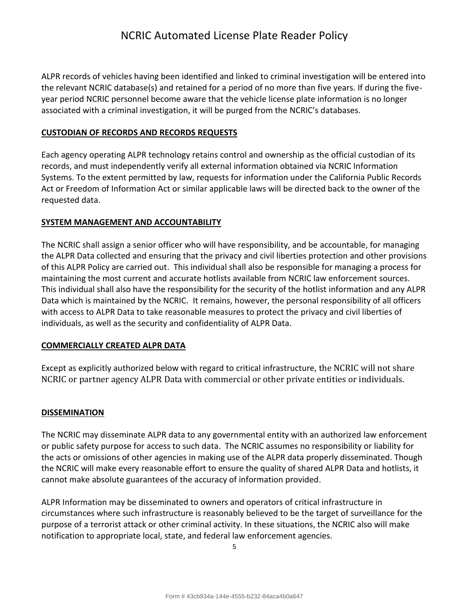ALPR records of vehicles having been identified and linked to criminal investigation will be entered into the relevant NCRIC database(s) and retained for a period of no more than five years. If during the fiveyear period NCRIC personnel become aware that the vehicle license plate information is no longer associated with a criminal investigation, it will be purged from the NCRIC's databases.

### **CUSTODIAN OF RECORDS AND RECORDS REQUESTS**

Each agency operating ALPR technology retains control and ownership as the official custodian of its records, and must independently verify all external information obtained via NCRIC Information Systems. To the extent permitted by law, requests for information under the California Public Records Act or Freedom of Information Act or similar applicable laws will be directed back to the owner of the requested data.

### **SYSTEM MANAGEMENT AND ACCOUNTABILITY**

The NCRIC shall assign a senior officer who will have responsibility, and be accountable, for managing the ALPR Data collected and ensuring that the privacy and civil liberties protection and other provisions of this ALPR Policy are carried out. This individual shall also be responsible for managing a process for maintaining the most current and accurate hotlists available from NCRIC law enforcement sources. This individual shall also have the responsibility for the security of the hotlist information and any ALPR Data which is maintained by the NCRIC. It remains, however, the personal responsibility of all officers with access to ALPR Data to take reasonable measures to protect the privacy and civil liberties of individuals, as well as the security and confidentiality of ALPR Data.

### **COMMERCIALLY CREATED ALPR DATA**

Except as explicitly authorized below with regard to critical infrastructure, the NCRIC will not share NCRIC or partner agency ALPR Data with commercial or other private entities or individuals.

### **DISSEMINATION**

The NCRIC may disseminate ALPR data to any governmental entity with an authorized law enforcement or public safety purpose for access to such data. The NCRIC assumes no responsibility or liability for the acts or omissions of other agencies in making use of the ALPR data properly disseminated. Though the NCRIC will make every reasonable effort to ensure the quality of shared ALPR Data and hotlists, it cannot make absolute guarantees of the accuracy of information provided.

ALPR Information may be disseminated to owners and operators of critical infrastructure in circumstances where such infrastructure is reasonably believed to be the target of surveillance for the purpose of a terrorist attack or other criminal activity. In these situations, the NCRIC also will make notification to appropriate local, state, and federal law enforcement agencies.

5